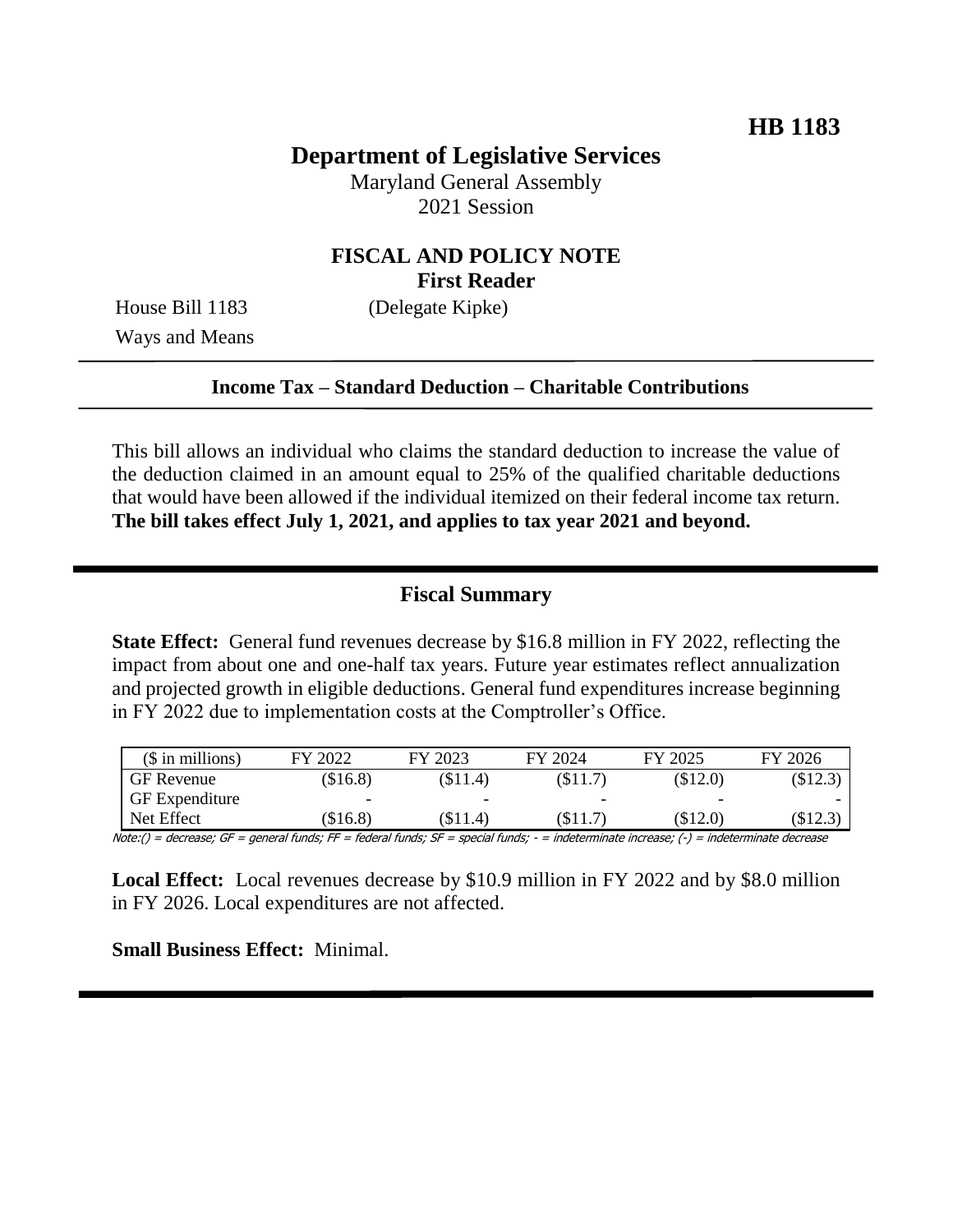## **Department of Legislative Services**

Maryland General Assembly 2021 Session

## **FISCAL AND POLICY NOTE First Reader**

Ways and Means

House Bill 1183 (Delegate Kipke)

#### **Income Tax – Standard Deduction – Charitable Contributions**

This bill allows an individual who claims the standard deduction to increase the value of the deduction claimed in an amount equal to 25% of the qualified charitable deductions that would have been allowed if the individual itemized on their federal income tax return. **The bill takes effect July 1, 2021, and applies to tax year 2021 and beyond.**

## **Fiscal Summary**

**State Effect:** General fund revenues decrease by \$16.8 million in FY 2022, reflecting the impact from about one and one-half tax years. Future year estimates reflect annualization and projected growth in eligible deductions. General fund expenditures increase beginning in FY 2022 due to implementation costs at the Comptroller's Office.

| $($$ in millions)     | FY 2022  | FY 2023                  | FY 2024                  | FY 2025                  | FY 2026 |
|-----------------------|----------|--------------------------|--------------------------|--------------------------|---------|
| <b>GF</b> Revenue     | (\$16.8) | $(\$11.4)$               | (S11.7)                  | (\$12.0)                 | \$12.3  |
| <b>GF</b> Expenditure | -        | $\overline{\phantom{0}}$ | $\overline{\phantom{0}}$ | $\overline{\phantom{0}}$ |         |
| Net Effect            | (\$16.8) | (\$11.4)                 | (\$11.7)                 | (\$12.0)                 | (\$12.3 |

Note:() = decrease; GF = general funds; FF = federal funds; SF = special funds; - = indeterminate increase; (-) = indeterminate decrease

**Local Effect:** Local revenues decrease by \$10.9 million in FY 2022 and by \$8.0 million in FY 2026. Local expenditures are not affected.

**Small Business Effect:** Minimal.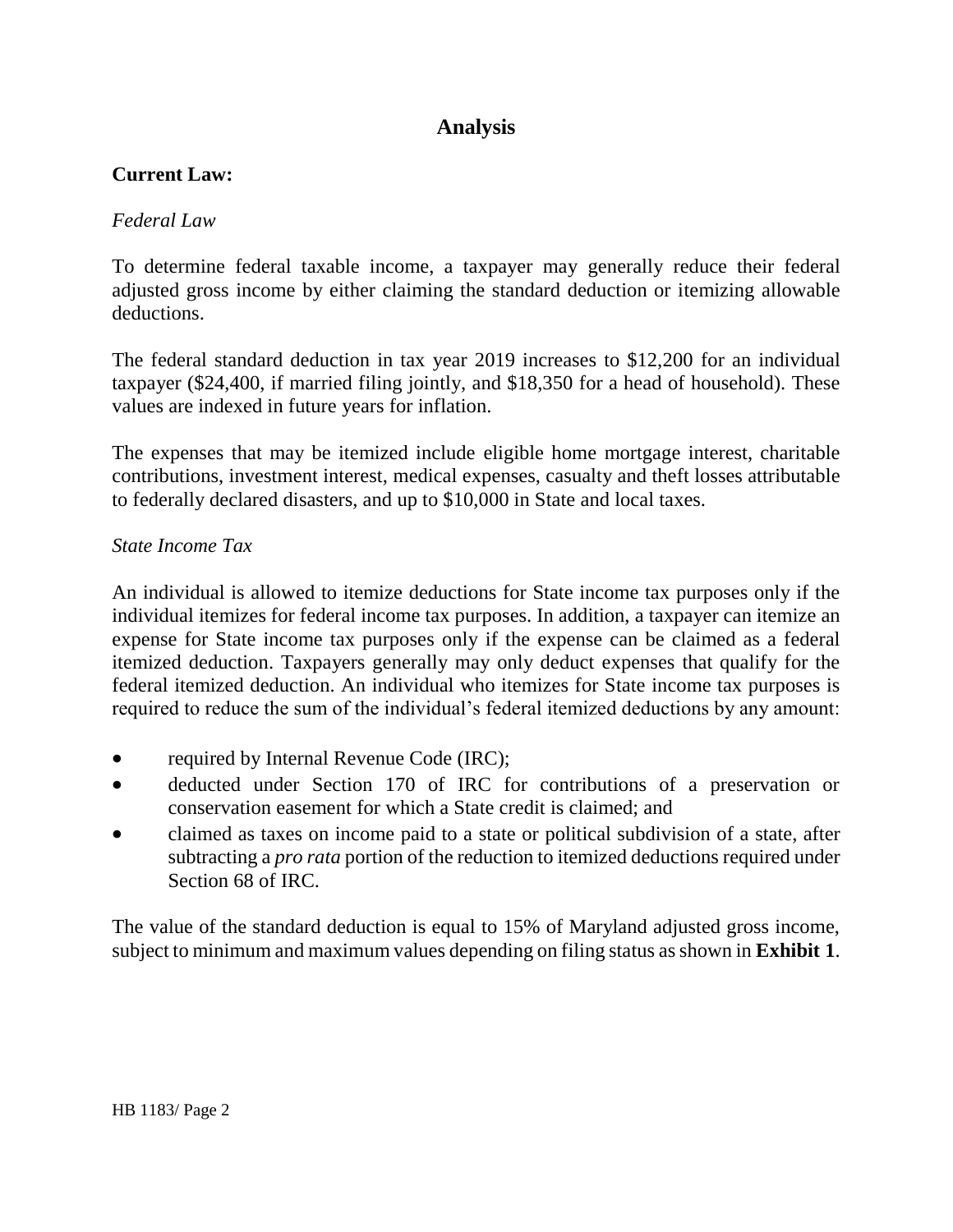# **Analysis**

## **Current Law:**

#### *Federal Law*

To determine federal taxable income, a taxpayer may generally reduce their federal adjusted gross income by either claiming the standard deduction or itemizing allowable deductions.

The federal standard deduction in tax year 2019 increases to \$12,200 for an individual taxpayer (\$24,400, if married filing jointly, and \$18,350 for a head of household). These values are indexed in future years for inflation.

The expenses that may be itemized include eligible home mortgage interest, charitable contributions, investment interest, medical expenses, casualty and theft losses attributable to federally declared disasters, and up to \$10,000 in State and local taxes.

#### *State Income Tax*

An individual is allowed to itemize deductions for State income tax purposes only if the individual itemizes for federal income tax purposes. In addition, a taxpayer can itemize an expense for State income tax purposes only if the expense can be claimed as a federal itemized deduction. Taxpayers generally may only deduct expenses that qualify for the federal itemized deduction. An individual who itemizes for State income tax purposes is required to reduce the sum of the individual's federal itemized deductions by any amount:

- required by Internal Revenue Code (IRC);
- deducted under Section 170 of IRC for contributions of a preservation or conservation easement for which a State credit is claimed; and
- claimed as taxes on income paid to a state or political subdivision of a state, after subtracting a *pro rata* portion of the reduction to itemized deductions required under Section 68 of IRC.

The value of the standard deduction is equal to 15% of Maryland adjusted gross income, subject to minimum and maximum values depending on filing status as shown in **Exhibit 1**.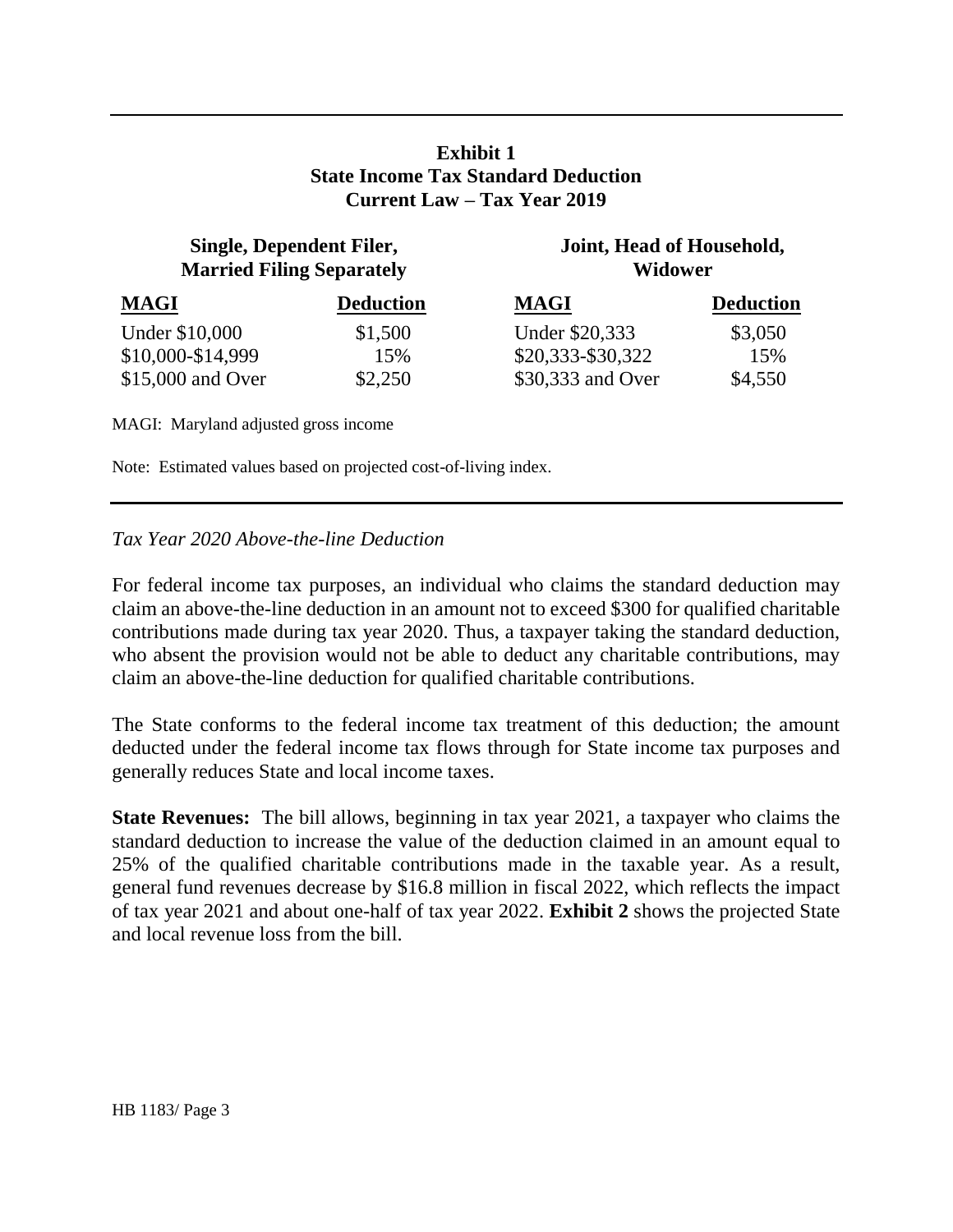#### **Exhibit 1 State Income Tax Standard Deduction Current Law – Tax Year 2019**

## **Single, Dependent Filer, Married Filing Separately**

**Joint, Head of Household, Widower**

| <b>MAGI</b>       | <b>Deduction</b> | <b>MAGI</b>       | <b>Deduction</b> |
|-------------------|------------------|-------------------|------------------|
| Under \$10,000    | \$1,500          | Under \$20,333    | \$3,050          |
| \$10,000-\$14,999 | 15%              | \$20,333-\$30,322 | 15%              |
| \$15,000 and Over | \$2,250          | \$30,333 and Over | \$4,550          |

MAGI: Maryland adjusted gross income

Note: Estimated values based on projected cost-of-living index.

#### *Tax Year 2020 Above-the-line Deduction*

For federal income tax purposes, an individual who claims the standard deduction may claim an above-the-line deduction in an amount not to exceed \$300 for qualified charitable contributions made during tax year 2020. Thus, a taxpayer taking the standard deduction, who absent the provision would not be able to deduct any charitable contributions, may claim an above-the-line deduction for qualified charitable contributions.

The State conforms to the federal income tax treatment of this deduction; the amount deducted under the federal income tax flows through for State income tax purposes and generally reduces State and local income taxes.

**State Revenues:** The bill allows, beginning in tax year 2021, a taxpayer who claims the standard deduction to increase the value of the deduction claimed in an amount equal to 25% of the qualified charitable contributions made in the taxable year. As a result, general fund revenues decrease by \$16.8 million in fiscal 2022, which reflects the impact of tax year 2021 and about one-half of tax year 2022. **Exhibit 2** shows the projected State and local revenue loss from the bill.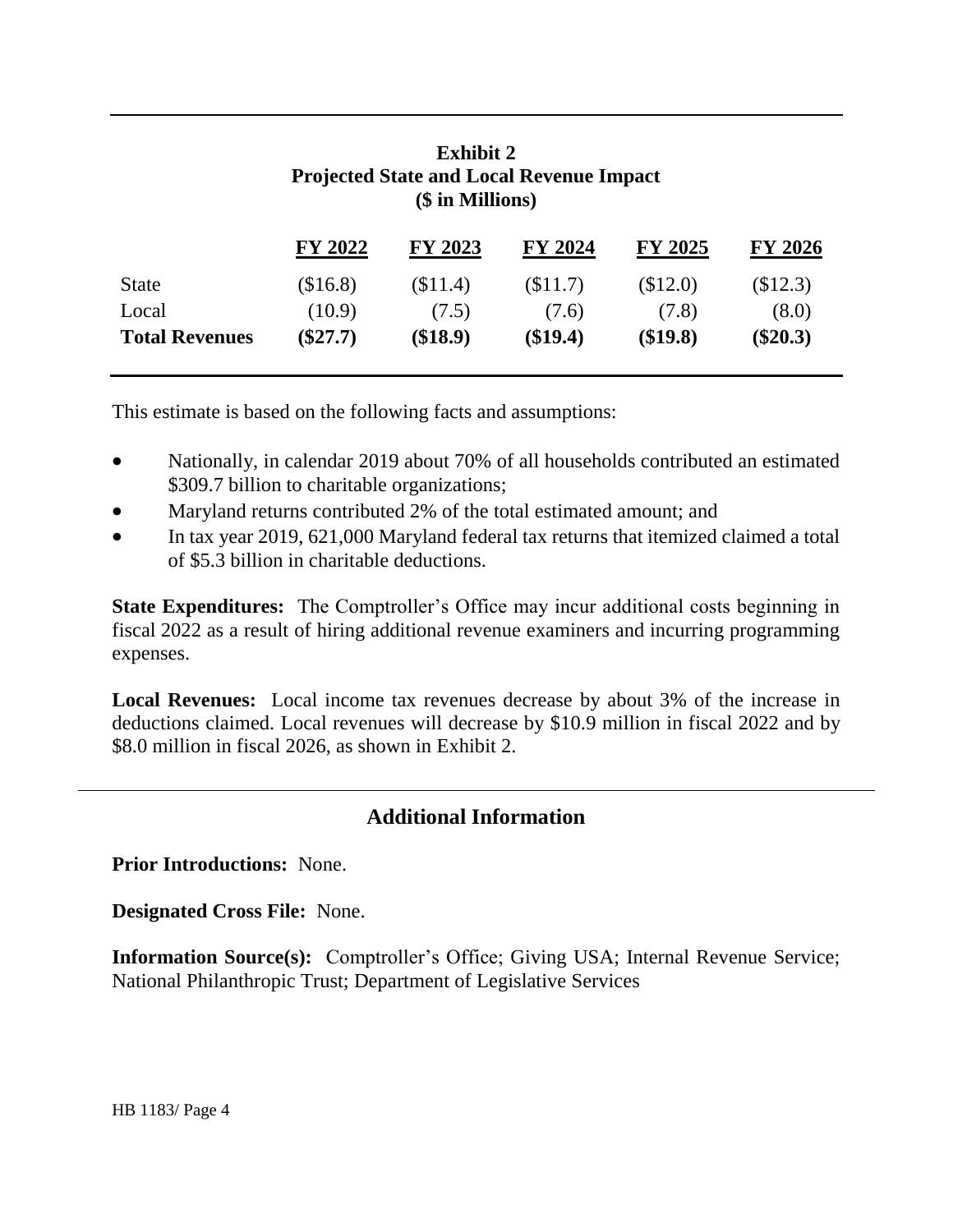|                       | <b>Projected State and Local Revenue Impact</b><br>(\$ in Millions) |          |          |                |                |  |  |
|-----------------------|---------------------------------------------------------------------|----------|----------|----------------|----------------|--|--|
|                       | FY 2022                                                             | FY 2023  | FY 2024  | <b>FY 2025</b> | <b>FY 2026</b> |  |  |
| <b>State</b>          | \$16.8                                                              | (\$11.4) | \$11.7   | (\$12.0)       | \$12.3)        |  |  |
| Local                 | (10.9)                                                              | (7.5)    | (7.6)    | (7.8)          | (8.0)          |  |  |
| <b>Total Revenues</b> | $(\$27.7)$                                                          | (\$18.9) | (\$19.4) | (\$19.8)       | $(\$20.3)$     |  |  |

**Exhibit 2 Projected State and Local Revenue Impact**

This estimate is based on the following facts and assumptions:

- Nationally, in calendar 2019 about 70% of all households contributed an estimated \$309.7 billion to charitable organizations;
- Maryland returns contributed 2% of the total estimated amount; and
- In tax year 2019, 621,000 Maryland federal tax returns that itemized claimed a total of \$5.3 billion in charitable deductions.

**State Expenditures:** The Comptroller's Office may incur additional costs beginning in fiscal 2022 as a result of hiring additional revenue examiners and incurring programming expenses.

**Local Revenues:** Local income tax revenues decrease by about 3% of the increase in deductions claimed. Local revenues will decrease by \$10.9 million in fiscal 2022 and by \$8.0 million in fiscal 2026, as shown in Exhibit 2.

# **Additional Information**

**Prior Introductions:** None.

**Designated Cross File:** None.

**Information Source(s):** Comptroller's Office; Giving USA; Internal Revenue Service; National Philanthropic Trust; Department of Legislative Services